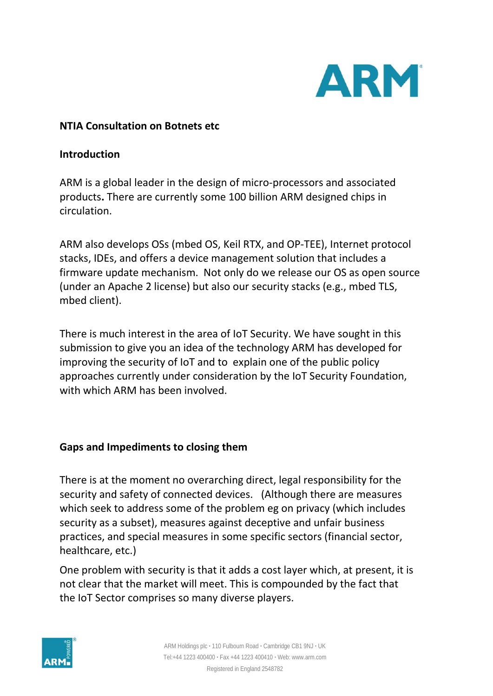

### **NTIA Consultation on Botnets etc**

#### **Introduction**

ARM is a global leader in the design of micro-processors and associated products**.** There are currently some 100 billion ARM designed chips in circulation.

ARM also develops OSs (mbed OS, Keil RTX, and OP-TEE), Internet protocol stacks, IDEs, and offers a device management solution that includes a firmware update mechanism. Not only do we release our OS as open source (under an Apache 2 license) but also our security stacks (e.g., mbed TLS, mbed client).

There is much interest in the area of IoT Security. We have sought in this submission to give you an idea of the technology ARM has developed for improving the security of IoT and to explain one of the public policy approaches currently under consideration by the IoT Security Foundation, with which ARM has been involved.

### **Gaps and Impediments to closing them**

There is at the moment no overarching direct, legal responsibility for the security and safety of connected devices. (Although there are measures which seek to address some of the problem eg on privacy (which includes security as a subset), measures against deceptive and unfair business practices, and special measures in some specific sectors (financial sector, healthcare, etc.)

One problem with security is that it adds a cost layer which, at present, it is not clear that the market will meet. This is compounded by the fact that the IoT Sector comprises so many diverse players.

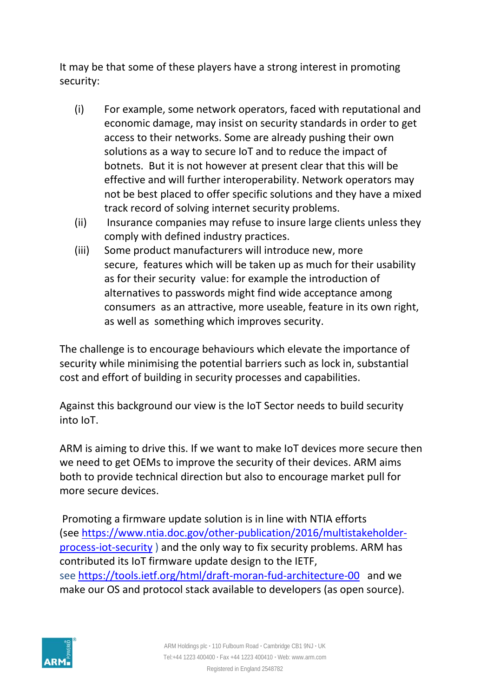It may be that some of these players have a strong interest in promoting security:

- (i) For example, some network operators, faced with reputational and economic damage, may insist on security standards in order to get access to their networks. Some are already pushing their own solutions as a way to secure IoT and to reduce the impact of botnets. But it is not however at present clear that this will be effective and will further interoperability. Network operators may not be best placed to offer specific solutions and they have a mixed track record of solving internet security problems.
- (ii) Insurance companies may refuse to insure large clients unless they comply with defined industry practices.
- (iii) Some product manufacturers will introduce new, more secure, features which will be taken up as much for their usability as for their security value: for example the introduction of alternatives to passwords might find wide acceptance among consumers as an attractive, more useable, feature in its own right, as well as something which improves security.

The challenge is to encourage behaviours which elevate the importance of security while minimising the potential barriers such as lock in, substantial cost and effort of building in security processes and capabilities.

Against this background our view is the IoT Sector needs to build security into IoT.

ARM is aiming to drive this. If we want to make IoT devices more secure then we need to get OEMs to improve the security of their devices. ARM aims both to provide technical direction but also to encourage market pull for more secure devices.

Promoting a firmware update solution is in line with NTIA efforts (see [https://www.ntia.doc.gov/other-publication/2016/multistakeholder](https://www.ntia.doc.gov/other-publication/2016/multistakeholder-process-iot-security)[process-iot-security](https://www.ntia.doc.gov/other-publication/2016/multistakeholder-process-iot-security) ) and the only way to fix security problems. ARM has contributed its IoT firmware update design to the IETF, see <https://tools.ietf.org/html/draft-moran-fud-architecture-00> and we make our OS and protocol stack available to developers (as open source).

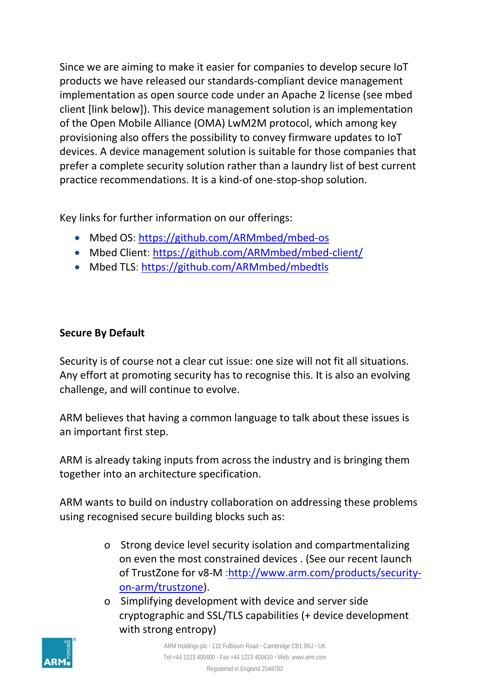Since we are aiming to make it easier for companies to develop secure IoT products we have released our standards-compliant device management implementation as open source code under an Apache 2 license (see mbed client [link below]). This device management solution is an implementation of the Open Mobile Alliance (OMA) LwM2M protocol, which among key provisioning also offers the possibility to convey firmware updates to IoT devices. A device management solution is suitable for those companies that prefer a complete security solution rather than a laundry list of best current practice recommendations. It is a kind-of one-stop-shop solution.

Key links for further information on our offerings:

- Mbed OS:<https://github.com/ARMmbed/mbed-os>
- Mbed Client:<https://github.com/ARMmbed/mbed-client/>
- Mbed TLS:<https://github.com/ARMmbed/mbedtls>

## **Secure By Default**

Security is of course not a clear cut issue: one size will not fit all situations. Any effort at promoting security has to recognise this. It is also an evolving challenge, and will continue to evolve.

ARM believes that having a common language to talk about these issues is an important first step.

ARM is already taking inputs from across the industry and is bringing them together into an architecture specification.

ARM wants to build on industry collaboration on addressing these problems using recognised secure building blocks such as:

- o Strong device level security isolation and compartmentalizing on even the most constrained devices . (See our recent launch of TrustZone for v8-M [:http://www.arm.com/products/security](http://www.arm.com/products/security-on-arm/trustzone)[on-arm/trustzone\)](http://www.arm.com/products/security-on-arm/trustzone).
- o Simplifying development with device and server side cryptographic and SSL/TLS capabilities (+ device development with strong entropy)

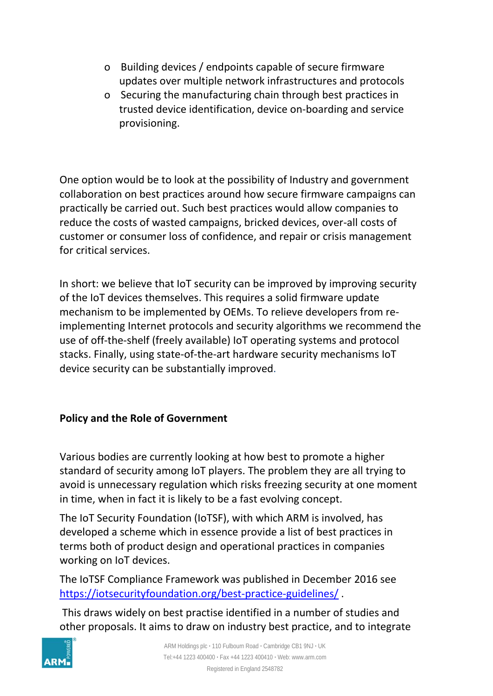- o Building devices / endpoints capable of secure firmware updates over multiple network infrastructures and protocols
- o Securing the manufacturing chain through best practices in trusted device identification, device on-boarding and service provisioning.

One option would be to look at the possibility of Industry and government collaboration on best practices around how secure firmware campaigns can practically be carried out. Such best practices would allow companies to reduce the costs of wasted campaigns, bricked devices, over-all costs of customer or consumer loss of confidence, and repair or crisis management for critical services.

In short: we believe that IoT security can be improved by improving security of the IoT devices themselves. This requires a solid firmware update mechanism to be implemented by OEMs. To relieve developers from reimplementing Internet protocols and security algorithms we recommend the use of off-the-shelf (freely available) IoT operating systems and protocol stacks. Finally, using state-of-the-art hardware security mechanisms IoT device security can be substantially improved.

# **Policy and the Role of Government**

Various bodies are currently looking at how best to promote a higher standard of security among IoT players. The problem they are all trying to avoid is unnecessary regulation which risks freezing security at one moment in time, when in fact it is likely to be a fast evolving concept.

The IoT Security Foundation (IoTSF), with which ARM is involved, has developed a scheme which in essence provide a list of best practices in terms both of product design and operational practices in companies working on IoT devices.

The IoTSF Compliance Framework was published in December 2016 see <https://iotsecurityfoundation.org/best-practice-guidelines/> .

This draws widely on best practise identified in a number of studies and other proposals. It aims to draw on industry best practice, and to integrate

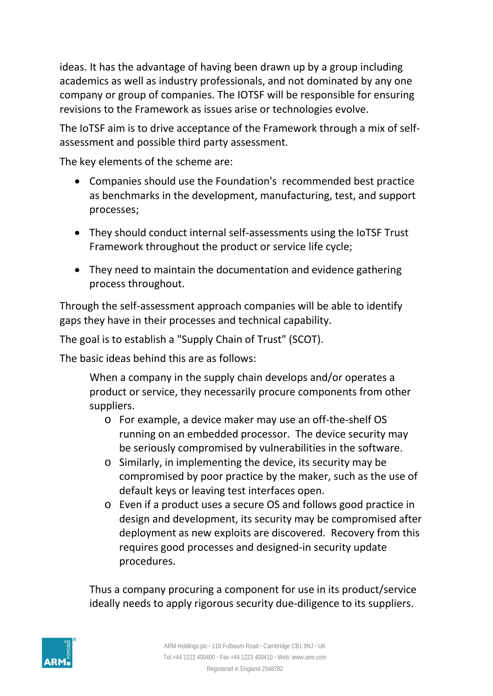ideas. It has the advantage of having been drawn up by a group including academics as well as industry professionals, and not dominated by any one company or group of companies. The IOTSF will be responsible for ensuring revisions to the Framework as issues arise or technologies evolve.

The IoTSF aim is to drive acceptance of the Framework through a mix of selfassessment and possible third party assessment.

The key elements of the scheme are:

- Companies should use the Foundation's recommended best practice as benchmarks in the development, manufacturing, test, and support processes;
- They should conduct internal self-assessments using the IoTSF Trust Framework throughout the product or service life cycle;
- They need to maintain the documentation and evidence gathering process throughout.

Through the self-assessment approach companies will be able to identify gaps they have in their processes and technical capability.

The goal is to establish a "Supply Chain of Trust" (SCOT).

The basic ideas behind this are as follows:

When a company in the supply chain develops and/or operates a product or service, they necessarily procure components from other suppliers.

- o For example, a device maker may use an off-the-shelf OS running on an embedded processor. The device security may be seriously compromised by vulnerabilities in the software.
- o Similarly, in implementing the device, its security may be compromised by poor practice by the maker, such as the use of default keys or leaving test interfaces open.
- o Even if a product uses a secure OS and follows good practice in design and development, its security may be compromised after deployment as new exploits are discovered. Recovery from this requires good processes and designed-in security update procedures.

Thus a company procuring a component for use in its product/service ideally needs to apply rigorous security due-diligence to its suppliers.

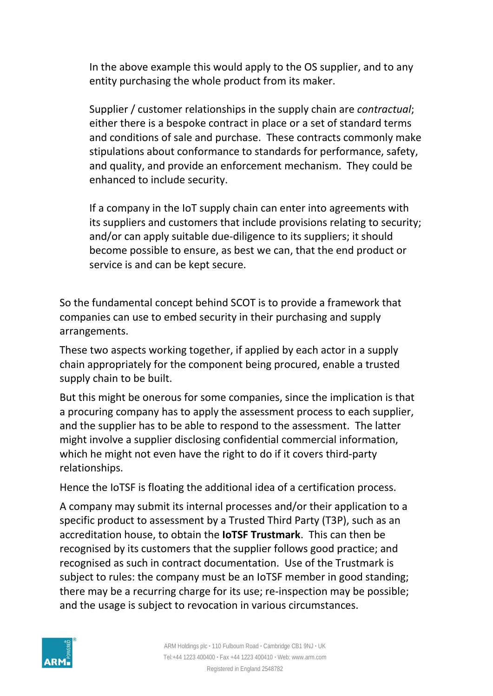In the above example this would apply to the OS supplier, and to any entity purchasing the whole product from its maker.

Supplier / customer relationships in the supply chain are *contractual*; either there is a bespoke contract in place or a set of standard terms and conditions of sale and purchase. These contracts commonly make stipulations about conformance to standards for performance, safety, and quality, and provide an enforcement mechanism. They could be enhanced to include security.

If a company in the IoT supply chain can enter into agreements with its suppliers and customers that include provisions relating to security; and/or can apply suitable due-diligence to its suppliers; it should become possible to ensure, as best we can, that the end product or service is and can be kept secure.

So the fundamental concept behind SCOT is to provide a framework that companies can use to embed security in their purchasing and supply arrangements.

These two aspects working together, if applied by each actor in a supply chain appropriately for the component being procured, enable a trusted supply chain to be built.

But this might be onerous for some companies, since the implication is that a procuring company has to apply the assessment process to each supplier, and the supplier has to be able to respond to the assessment. The latter might involve a supplier disclosing confidential commercial information, which he might not even have the right to do if it covers third-party relationships.

Hence the IoTSF is floating the additional idea of a certification process.

A company may submit its internal processes and/or their application to a specific product to assessment by a Trusted Third Party (T3P), such as an accreditation house, to obtain the **IoTSF Trustmark**.This can then be recognised by its customers that the supplier follows good practice; and recognised as such in contract documentation. Use of the Trustmark is subject to rules: the company must be an IoTSF member in good standing; there may be a recurring charge for its use; re-inspection may be possible; and the usage is subject to revocation in various circumstances.

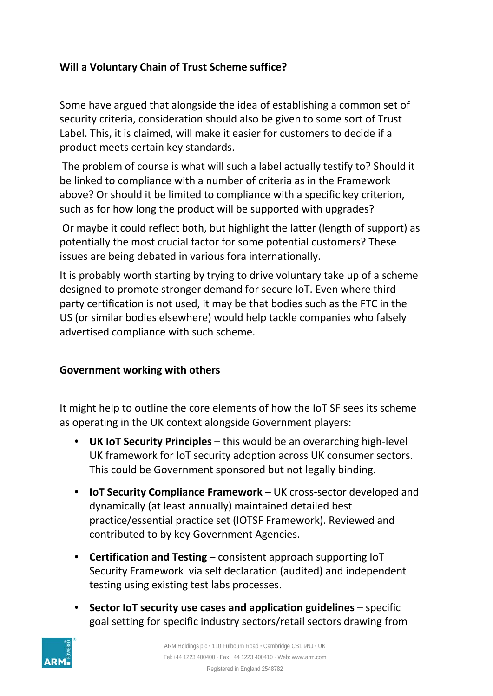# **Will a Voluntary Chain of Trust Scheme suffice?**

Some have argued that alongside the idea of establishing a common set of security criteria, consideration should also be given to some sort of Trust Label. This, it is claimed, will make it easier for customers to decide if a product meets certain key standards.

The problem of course is what will such a label actually testify to? Should it be linked to compliance with a number of criteria as in the Framework above? Or should it be limited to compliance with a specific key criterion, such as for how long the product will be supported with upgrades?

Or maybe it could reflect both, but highlight the latter (length of support) as potentially the most crucial factor for some potential customers? These issues are being debated in various fora internationally.

It is probably worth starting by trying to drive voluntary take up of a scheme designed to promote stronger demand for secure IoT. Even where third party certification is not used, it may be that bodies such as the FTC in the US (or similar bodies elsewhere) would help tackle companies who falsely advertised compliance with such scheme.

## **Government working with others**

It might help to outline the core elements of how the IoT SF sees its scheme as operating in the UK context alongside Government players:

- **UK IoT Security Principles**  this would be an overarching high-level UK framework for IoT security adoption across UK consumer sectors. This could be Government sponsored but not legally binding.
- **IoT Security Compliance Framework**  UK cross-sector developed and dynamically (at least annually) maintained detailed best practice/essential practice set (IOTSF Framework). Reviewed and contributed to by key Government Agencies.
- **Certification and Testing**  consistent approach supporting IoT Security Framework via self declaration (audited) and independent testing using existing test labs processes.
- **Sector IoT security use cases and application guidelines**  specific goal setting for specific industry sectors/retail sectors drawing from